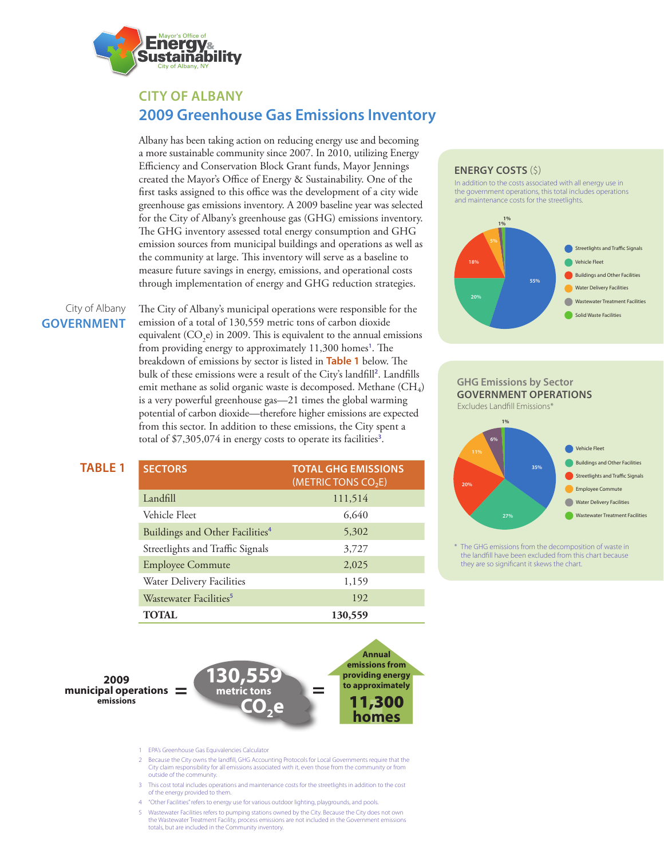

# **CITY OF ALBANY 2009 Greenhouse Gas Emissions Inventory**

Albany has been taking action on reducing energy use and becoming a more sustainable community since 2007. In 2010, utilizing Energy Efficiency and Conservation Block Grant funds, Mayor Jennings created the Mayor's Office of Energy & Sustainability. One of the first tasks assigned to this office was the development of a city wide greenhouse gas emissions inventory. A 2009 baseline year was selected for the City of Albany's greenhouse gas (GHG) emissions inventory. The GHG inventory assessed total energy consumption and GHG emission sources from municipal buildings and operations as well as the community at large. This inventory will serve as a baseline to measure future savings in energy, emissions, and operational costs through implementation of energy and GHG reduction strategies.

# City of Albany **GOVERNMENT**

**TABLE 1**

The City of Albany's municipal operations were responsible for the emission of a total of 130,559 metric tons of carbon dioxide equivalent  $(CO_2e)$  in 2009. This is equivalent to the annual emissions from providing energy to approximately 11,300 homes**<sup>1</sup>** . The breakdown of emissions by sector is listed in **Table 1** below. The bulk of these emissions were a result of the City's landfill**<sup>2</sup>** . Landfills emit methane as solid organic waste is decomposed. Methane  $(CH_4)$ is a very powerful greenhouse gas—21 times the global warming potential of carbon dioxide—therefore higher emissions are expected from this sector. In addition to these emissions, the City spent a total of \$7,305,074 in energy costs to operate its facilities**<sup>3</sup>** .

| <b>SECTORS</b>                              | <b>TOTAL GHG EMISSIONS</b><br>(METRIC TONS CO <sub>2</sub> E) |
|---------------------------------------------|---------------------------------------------------------------|
| Landfill                                    | 111,514                                                       |
| Vehicle Fleet                               | 6,640                                                         |
| Buildings and Other Facilities <sup>4</sup> | 5,302                                                         |
| Streetlights and Traffic Signals            | 3,727                                                         |
| <b>Employee Commute</b>                     | 2.025                                                         |
| Water Delivery Facilities                   | 1,159                                                         |
| Wastewater Facilities <sup>5</sup>          | 192                                                           |
| TOTAL.                                      | 130,559                                                       |

**Annual emissions from providing energy to approximately** 11,300 **homes**

**metric tons = = 2009 municipal operations emissions**

1 EPA's Greenhouse Gas Equivalencies Calculator

- 2 Because the City owns the landfill, GHG Accounting Protocols for Local Governments require that the City claim responsibility for all emissions associated with it, even those from the community or from outside of the community.
- 3 This cost total includes operations and maintenance costs for the streetlights in addition to the cost of the energy provided to them.
- 4 "Other Facilities" refers to energy use for various outdoor lighting, playgrounds, and pools.

 **CO2e**

**130,559** 

5 Wastewater Facilities refers to pumping stations owned by the City. Because the City does not own the Wastewater Treatment Facility, process emissions are not included in the Government emissions totals, but are included in the Community inventory.

## **ENERGY COSTS** (\$)

In addition to the costs associated with all energy use in the government operations, this total includes operations and maintenance costs for the streetlights.



### **GHG Emissions by Sector GOVERNMENT OPERATIONS** Excludes Landfill Emissions\*



\* The GHG emissions from the decomposition of waste in the landfill have been excluded from this chart because they are so significant it skews the chart.